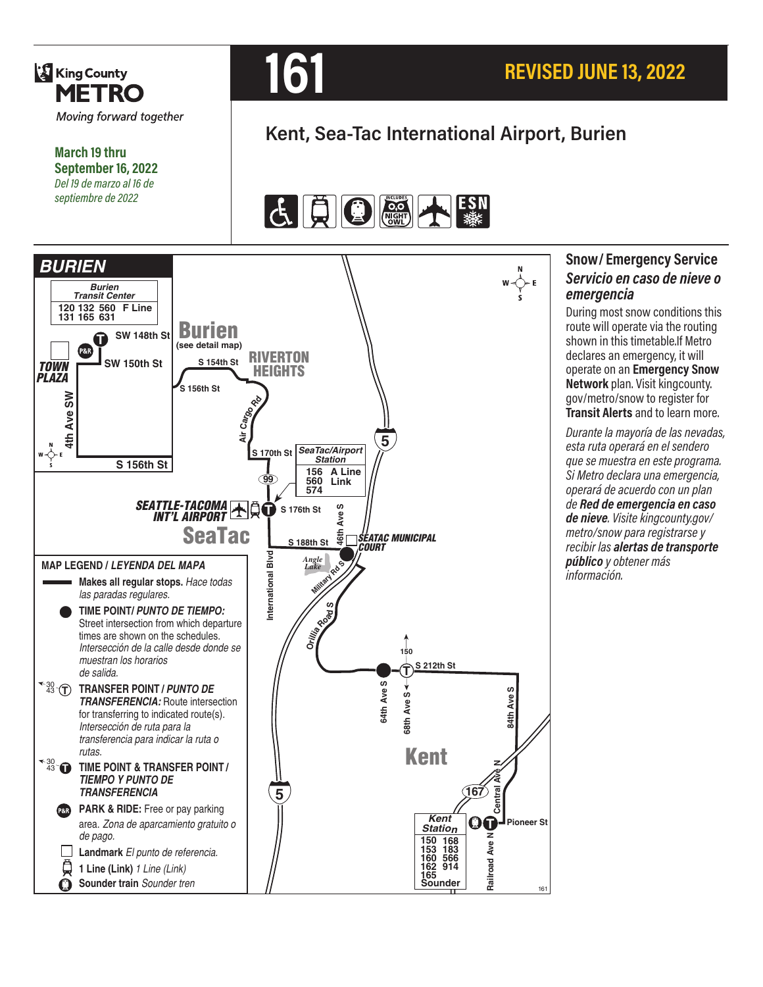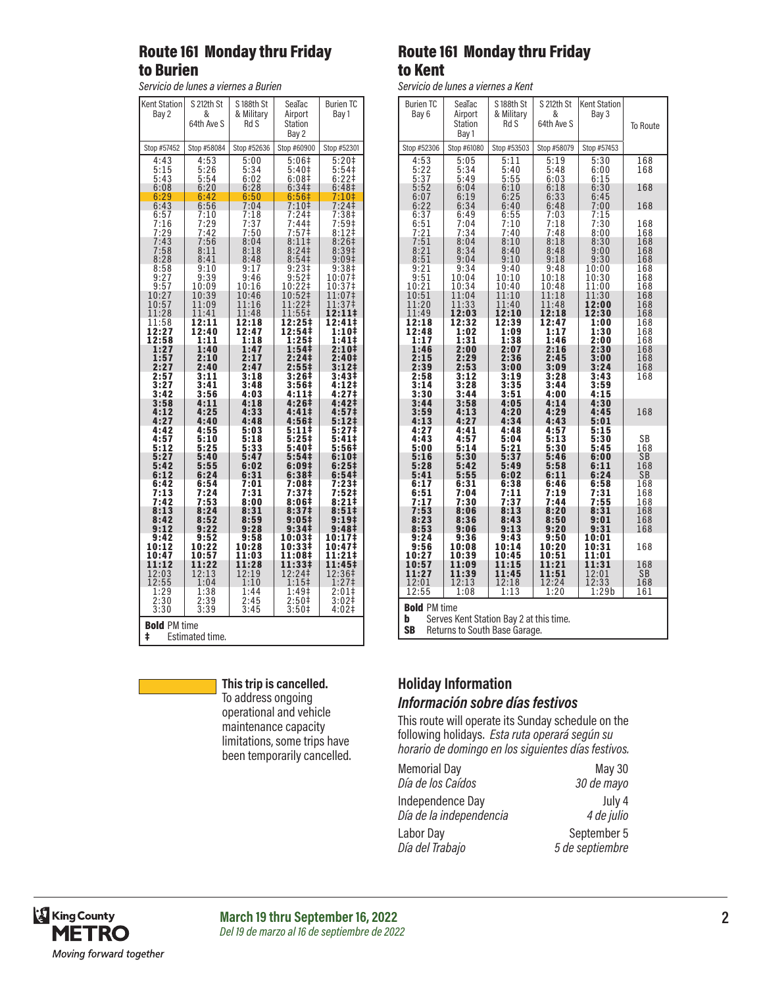### Route 161 Monday thru Friday to Burien

*Servicio de lunes a viernes a Burien*

| <b>Kent Station</b><br>Bay 2                | S 212th St<br>&<br>64th Ave S    | S188th St<br>& Military<br>Rd S | SeaTac<br>Airport<br>Station<br>Bay 2                    | <b>Burien TC</b><br>Bay 1                                   |  |
|---------------------------------------------|----------------------------------|---------------------------------|----------------------------------------------------------|-------------------------------------------------------------|--|
| Stop #57452                                 | Stop #58084                      | Stop #52636                     | Stop #60900                                              | Stop #52301                                                 |  |
| 4:43<br>5:15<br>5:43<br>6:08                | 4:53<br>5:26<br>5:54<br>6:20     | 5:00<br>5:34<br>6:02<br>6:28    | 5:06‡<br>5:40‡<br>6:08 <sup>‡</sup><br>6:34 <sup>‡</sup> | $5:20+$<br>$5:54$<br>6:22 <del> </del><br>6:48 <sup>‡</sup> |  |
| $6:29$<br>$6:43$                            | 6:42<br>6:56                     | 6:50<br>7:04                    | 6:56#<br>7:10‡                                           | $7:10+$<br>24 <sup>†</sup><br>7:                            |  |
| $\frac{6:57}{7:16}$<br>$7:29$<br>$7:43$     | 7:10<br><br>7:29<br>7:42<br>7:56 | 7:18<br>7:37<br>7:50            | 7:24‡<br>7:44‡<br>7:57‡<br>8:11‡                         | 7:38‡<br>7:59‡<br>8:12 <sup>‡</sup>                         |  |
| $7:58$<br>$8:28$<br>8:58                    | 8:11<br>8:41<br>9:10             | 8:04<br>8:18<br>8:48<br>9:17    | 8:24<br>8:54‡<br>9:23‡                                   | $8:26+$<br>$8:39+$<br>9:091<br>9:38‡                        |  |
| $\frac{9:27}{9:57}$                         | 9:39                             | 9:46                            | $9:52$ ‡                                                 | 10:07‡                                                      |  |
|                                             | 10:09                            | 10:16                           | 10:22‡                                                   | 10:37‡                                                      |  |
| $\frac{10:27}{10:57}$<br>11:28              | 10:39<br>11:09<br>11:41          | 10:46<br>11:16<br>11:48         | 10:52‡<br>11:22‡<br>11:55‡                               | 1:07 <sup>‡</sup><br>1<br>11:37‡<br>12:11‡                  |  |
| 11:58<br>12:27<br>12:58                     | 12:11<br>12:40<br>1:11           | 12:18<br>12:47<br>1:18          | 12:25‡<br>12:54‡<br>1:25‡                                | 12:41‡<br>1:10‡<br>1:41‡                                    |  |
| 1:27                                        | 1:40                             | 1:47                            | 1:54 <sup>‡</sup>                                        | 2:10‡                                                       |  |
| $\overline{1}$ :57                          | 2:10                             | 2:17                            | 2:24‡                                                    | 2:40‡                                                       |  |
| 2:27                                        | 2:40                             | 2:47                            | 2:55 <sup>‡</sup>                                        | $3:12+$                                                     |  |
| 2:57                                        | 3:11                             | 3:18                            | 3:26#                                                    | $3:43+$                                                     |  |
| 3:27                                        | 3:41                             | 3:48                            | 3:56‡                                                    | 4:12‡                                                       |  |
| 3:42                                        | 3:56                             | 4:03                            | 4:11‡                                                    | 4:27‡                                                       |  |
| 3:58                                        | 4:11                             | 4:18                            | 4:26‡                                                    | 4:42‡                                                       |  |
| 4:12                                        | 4:25                             | 4:33                            | 4:411                                                    | 4:57‡                                                       |  |
| 4:27                                        | 4:40                             | 4:48                            | 4:56‡                                                    | 5:12‡                                                       |  |
| 4:42                                        | 4:55                             | 5:03                            | 5:11‡                                                    | 5:27‡                                                       |  |
| 4:57                                        | 5:10                             | 5:18                            | $5:25$ ‡                                                 | 5:41‡                                                       |  |
| 5:12                                        | 5:25                             | 5:33                            | 5:40‡                                                    | 5:56‡                                                       |  |
| 5:27                                        | 5:40                             | 5:47                            | 5:54‡                                                    | 6:101                                                       |  |
| 5:42                                        | 5:55                             | 6:02                            | 6:09‡                                                    | 6:25#                                                       |  |
| 6:12                                        | 6:24                             | 6:31                            | 6:38‡                                                    | 6:54‡                                                       |  |
| 6:42                                        | 6:54                             | 7:01                            | 7:08‡                                                    | 7:23‡                                                       |  |
| 7:13                                        | 7:24                             | 7:31                            | 7:37‡                                                    | $7:52+$                                                     |  |
| 7:42                                        | 7:53                             | 8:00                            | 8:06‡                                                    | 8:21#                                                       |  |
| 8:13                                        | 8:24                             | 8:31                            | 8:37‡                                                    | 8:51‡                                                       |  |
| 8:42                                        | 8:52                             | 8:59                            | 9:05‡                                                    | 9:19‡                                                       |  |
| 9:12                                        | 9:22                             | 9:28                            | 9:34‡                                                    | 9:48‡                                                       |  |
| 9:42                                        | 9:52                             | 9:58                            | 10:03‡                                                   | 10:17‡                                                      |  |
| 10:12                                       | 10:22                            | 10:28                           | 10:33‡                                                   | 10:47‡                                                      |  |
| 10:47                                       | 10:57                            | 11:03                           | 11:08‡                                                   | 11:21‡                                                      |  |
| 11:12                                       | 11:22                            | 11:28                           | 11:33‡                                                   | 11:45‡                                                      |  |
| 12:03                                       | 12:13                            | 12:19                           | 12:24                                                    | $12:36+$                                                    |  |
| 12:55                                       | 1:04                             | 1:10                            | $1:15+$                                                  | 1:27 <sup>†</sup>                                           |  |
| 1:29                                        | 1:38                             | 1:44                            | 1:49‡                                                    | 2:01‡                                                       |  |
| 2:30                                        | 2:39                             | 2:45                            | 2:50 <sup>‡</sup>                                        | 3:02 <sup>‡</sup>                                           |  |
| 3:30                                        | 3:39                             | 3:45                            | 3:50 <sup>‡</sup>                                        | 4:02‡                                                       |  |
| <b>Bold PM time</b><br>ŧ<br>Estimated time. |                                  |                                 |                                                          |                                                             |  |

### Route 161 Monday thru Friday to Kent

*Servicio de lunes a viernes a Kent*

| <b>Burien TC</b><br>Bay 6  | SeaTac<br>Airport<br><b>Station</b><br>Bay 1 | S 188th St<br>& Military<br><b>Rd S</b> | S 212th St<br>&<br>64th Ave S | <b>Kent Station</b><br>Bay 3 | To Route   |  |
|----------------------------|----------------------------------------------|-----------------------------------------|-------------------------------|------------------------------|------------|--|
| Stop #52306                | Stop #61080                                  | Stop #53503                             | Stop #58079                   | Stop #57453                  |            |  |
| 4:53<br>5:22<br>5:37       | 5:05<br>5:34<br>5:49                         | 5:11<br>5:40<br>5:55                    | 5:19<br>5:48<br>6:03          | 5:30<br>6:00<br>6:15         | 168<br>168 |  |
| 5:52                       | 6:04                                         | 6:10                                    | 6:18                          | 6:30                         | 168        |  |
| 6:07                       | 6:19                                         | 6:25                                    | 6:33                          | 6:45                         |            |  |
| $6:22$<br>$6:37$<br>$6:51$ | 6:34<br>6:49                                 | 6:40<br>6:55                            | 6:48<br>7:03                  | 7:00<br>7:15                 | 168        |  |
|                            | 7:04                                         | 7:10                                    | 7:18                          | 7:30                         | 168        |  |
|                            | 7:34                                         | 7:40                                    | 7:48                          | 8:00                         | 168        |  |
| $\frac{7:21}{7:51}$        | 8:04                                         | 8:10                                    | 8:18                          | 8:30                         | 168        |  |
| 8:21                       | 8:34                                         | 8:40                                    | 8:48                          | 9:00                         | 168        |  |
| 8:51                       | 9:04                                         | 9:10                                    | 9:18                          | 9:30                         | 168        |  |
| 9:21                       | 9:34                                         | 9:40                                    | 9:48                          | 10:00                        | 168        |  |
| 9:51                       | 10:04                                        | 10:10                                   | 10:18                         | 10:30                        | 168        |  |
| 10:21                      | 10:34                                        | 10:40                                   | 10:48                         | 11:00                        | 168        |  |
| 10:51                      | 11:04                                        | 11:10                                   | 11:18                         | 11:30                        | 168        |  |
| 11:20                      | 11:33                                        | 11:40                                   | 11:48                         | 12:00                        | 168        |  |
| 11:49                      | 12:03                                        | 12:10                                   | 12:18                         | 12:30                        | 168        |  |
| 12:18                      | 12:32                                        | 12:39                                   | 12:47                         | 1:00                         | 168        |  |
| $\bar{1}\bar{2}$ :48       | 1:02                                         | 1:09                                    | 1:17                          | 1:30                         | 168        |  |
| 1:17                       | 1:31                                         | 1:38                                    | 1:46                          | 2:00                         | 168        |  |
| 1:46                       | 2:00                                         | 2:07                                    | 2:16                          | 2:30                         | 168        |  |
| 2:15                       | 2:29                                         | 2:36                                    | 2:45                          | 3:00                         | 168        |  |
| 2:39                       | 2:53                                         | 3:00                                    | 3:09                          | 3:24                         | 168        |  |
| 2:58                       | 3:12                                         | 3:19                                    | 3:28                          | 3:43                         | 168        |  |
| 3:14                       | 3:28                                         | 3:35                                    | 3:44                          | 3:59                         |            |  |
| 3:30                       | 3:44                                         | 3:51                                    | 4:00                          | 4:15                         |            |  |
| 3:44                       | 3:58                                         | 4:05                                    | 4:14                          | 4:30                         | 168        |  |
| 3:59                       | 4:13                                         | 4:20                                    | 4:29                          | 4:45                         |            |  |
| 4:13                       | 4:27                                         | 4:34                                    | 4:43                          | 5:01                         |            |  |
| 4:27                       | 4:41                                         | 4:48                                    | 4:57                          | 5:15                         |            |  |
| 4:43                       | 4:57                                         | 5:04                                    | 5:13                          | 5:30                         | <b>SB</b>  |  |
| 5:00                       | 5:14                                         | 5:21                                    | 5:30                          | 5:45                         | 168        |  |
| 5:16                       | 5:30                                         | 5:37                                    | 5:46                          | 6:00                         | <b>SB</b>  |  |
| 5:28                       | 5:42                                         | 5:49                                    | 5:58                          | 6:11                         | 168        |  |
| 5:41                       | 5:55                                         | 6:02                                    | 6:11                          | 6:24                         | <b>SB</b>  |  |
| 6:17                       | 6:31                                         | 6:38                                    | 6:46                          | 6:58                         | 168        |  |
| 6:51                       | 7:04                                         | 7:11                                    | 7:19                          | 7:31                         | 168        |  |
| 7:17                       | 7:30                                         | 7:37                                    | 7:44                          | 7:55                         | 168        |  |
| 7:53                       | 8:06                                         | 8:13                                    | 8:20                          | 8:31                         | 168        |  |
| 8:23                       | 8:36                                         | 8:43                                    | 8:50                          | 9:01                         | 168        |  |
| 8:53                       | 9:06                                         | 9:13                                    | 9:20                          | 9:31                         | 168        |  |
| 9:24<br>9:56               | 9:36<br>10:08                                | 9:43<br>10:14                           | 9:50<br>10:20                 | 10:01<br>10:31<br>11:01      | 168        |  |
| 10:27<br>10:57             | 10:39<br>11:09                               | 10:45<br>11:15                          | 10:51<br>11:21                | 11:31                        | 168        |  |
| 11:27                      | 11:39                                        | 11:45                                   | 11:51                         | 12:01                        | <b>SB</b>  |  |
| 12:01                      | 12:13                                        | 12:18                                   | 12:24                         | 12:33                        | 168        |  |
| 12:55                      | 1:08                                         | 1:13                                    | 1:20                          | 1:29b                        | 161        |  |
| <b>Rold</b> PM time        |                                              |                                         |                               |                              |            |  |

Bold PM time

**b** Serves Kent Station Bay 2 at this time.

**SB** Returns to South Base Garage.



#### **This trip is cancelled.**

To address ongoing operational and vehicle maintenance capacity limitations, some trips have been temporarily cancelled.

### **Holiday Information**

### *Información sobre días festivos*

This route will operate its Sunday schedule on the following holidays. *Esta ruta operará según su horario de domingo en los siguientes días festivos.*

| <b>Memorial Day</b><br>Día de los Caídos | <b>May 30</b><br>30 de mayo |
|------------------------------------------|-----------------------------|
| Independence Day                         | July 4                      |
| Día de la independencia                  | 4 de julio                  |
| Labor Day                                | September 5                 |
| Día del Trabajo                          | 5 de septiembre             |

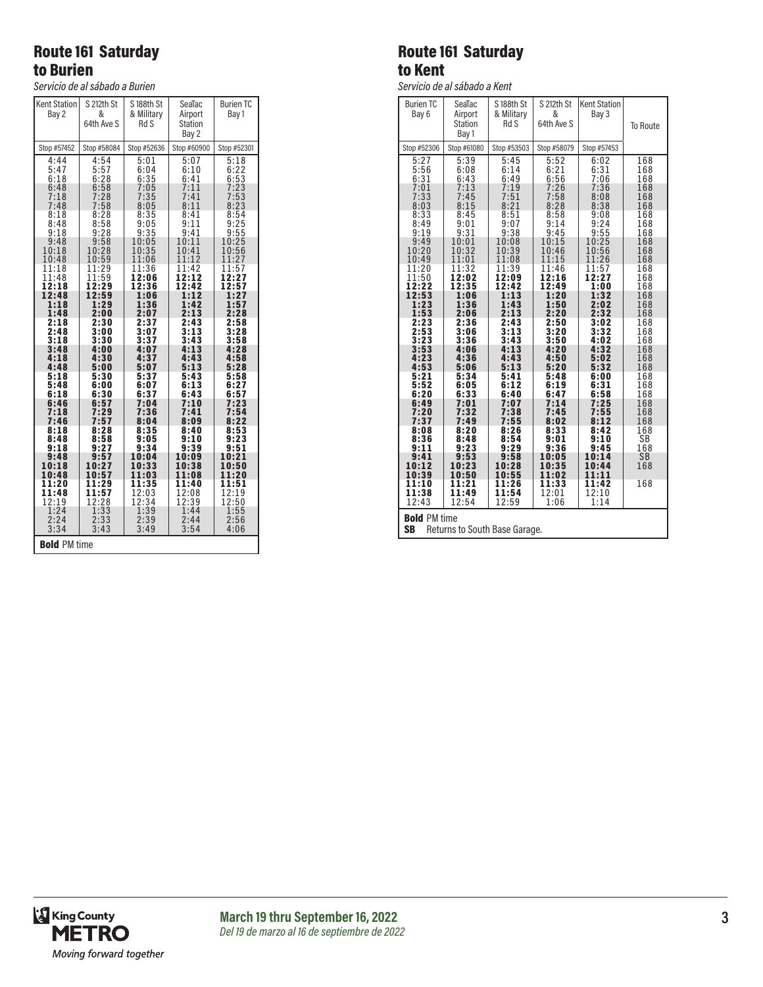# Route 161 Saturday to Burien

*Servicio de al sábado a Burien*

| <b>Kent Station</b><br>Bay 2         | S 212th St<br>&<br>64th Ave S        | S 188th St<br>& Military<br>Rd S                   | SeaTac<br>Airport<br><b>Station</b><br>Bay 2 | <b>Burien TC</b><br>Bay 1             |  |
|--------------------------------------|--------------------------------------|----------------------------------------------------|----------------------------------------------|---------------------------------------|--|
| Stop #57452                          | Stop #58084                          | Stop #52636                                        | Stop #60900                                  | Stop #52301                           |  |
| 4:44<br>5:47<br>6:18<br>6:48<br>7:18 | 4:54<br>5:57<br>6:28<br>6:58<br>7:28 | 5:01<br>6:04<br>6:35<br>$7:05$<br>$7:35$<br>$8:05$ | 5:07<br>6:10<br>6:41<br>7:11<br>7:41         | 5:18<br>6:22<br>6:53<br>7:23<br>7:53  |  |
| 7:48<br>8:18<br>8:48<br>9:18<br>9:48 | 7:58<br>8:28<br>8:58<br>9:28<br>9:58 | 8:35<br>9:05<br>9:35<br>10:05                      | 8:11<br>8:41<br>9:11<br>9:41<br>10:11        | 8:23<br>8:54<br>9:25<br>9:55<br>10:25 |  |
| 10:18                                | 10:28                                | 10:35                                              | 10:41                                        | 10:56                                 |  |
| 10:48                                | 10:59                                | 11:06                                              | 11:12                                        | 11:27                                 |  |
| 11:18                                | 11:29                                | 11:36                                              | 11:42                                        | 11:57                                 |  |
| 11:48                                | 11:59                                | 12:06                                              | 12:12                                        | 12:27                                 |  |
| 12:18                                | 12:29                                | $\bar{1}$ 2:36                                     | 12:42                                        | 12:57                                 |  |
| 12:48                                | 12:59                                | 1:06                                               | 1:12                                         | 1:27                                  |  |
| 1:18                                 | 1:29                                 | 1:36                                               | 1:42                                         | 1:57                                  |  |
| 1:48                                 | 2:00                                 | 2:07                                               | 2:13                                         | 2:28                                  |  |
| 2:18                                 | 2:30                                 | 2:37                                               | 2:43                                         | 2:58                                  |  |
| 2:48                                 | 3:00                                 | 3:07                                               | 3:13                                         | 3:28                                  |  |
| 3:18                                 | 3:30                                 | 3:37                                               | 3:43                                         | 3:58                                  |  |
| 3:48                                 | 4:00                                 | 4:07                                               | 4:13                                         | 4:28                                  |  |
| 4:18                                 | 4:30                                 | 4:37                                               | 4:43                                         | 4:58                                  |  |
| 4:48                                 | 5:00                                 | 5:07                                               | 5:13                                         | 5:28                                  |  |
| 5:18                                 | 5:30                                 | 5:37                                               | 5:43                                         | 5:58                                  |  |
| 5:48                                 | 6:00                                 | 6:07                                               | 6:13                                         | 6:27                                  |  |
| 6:18                                 | 6:30                                 | 6:37                                               | 6:43                                         | 6:57                                  |  |
| 6:46                                 | 6:57                                 | 7:04                                               | 7:10                                         | 7:23                                  |  |
| 7:18                                 | 7:29                                 | 7:36                                               | 7:41                                         | 7:54                                  |  |
| 7:46                                 | 7:57                                 | 8:04                                               | 8:09                                         | 8:22                                  |  |
| 8:18                                 | 8:28                                 | 8:35                                               | 8:40                                         | 8:53                                  |  |
| 8:48                                 | 8:58                                 | 9:05                                               | 9:10                                         | 9:23                                  |  |
| 9:18                                 | 9:27                                 | 9:34                                               | 9:39                                         | 9:51                                  |  |
| 9:48<br>10:18<br>10:48               | 9:57<br>10:27<br>10:57               | 10:04<br>10:33<br>1:03<br>1                        | 10:09<br>10:38<br>1:08<br>1                  | 10:21<br>10:50<br>11:20               |  |
| 11:20                                | 11:29                                | 11:35                                              | 11:40                                        | 11:51                                 |  |
| 11:48                                | 11:57                                | 12:03                                              | 12:08                                        | 12:19                                 |  |
| 12:19                                | 12:28                                | 12:34                                              | 12:39                                        | 12:50                                 |  |
| 1:24                                 | 1:33                                 | 1:39                                               | 1:44                                         | 1:55                                  |  |
| 2:24                                 | 2:33                                 | 2:39                                               | 2:44                                         | 2:56                                  |  |
| 3:34                                 | 3:43                                 | 3:49                                               | 3:54                                         | 4:06                                  |  |
| <b>Bold PM time</b>                  |                                      |                                                    |                                              |                                       |  |

# Route 161 Saturday to Kent

*Servicio de al sábado a Kent*

| <b>Burien TC</b><br>Bay 6                                         | SeaTac<br>Airport<br><b>Station</b><br>Bay 1 | S 188th St<br>& Military<br>Rd S | S 212th St<br>&<br>64th Ave S    | <b>Kent Station</b><br>Bay 3     | To Route                 |
|-------------------------------------------------------------------|----------------------------------------------|----------------------------------|----------------------------------|----------------------------------|--------------------------|
| Stop #52306                                                       | Stop #61080                                  | Stop #53503                      | Stop #58079                      | Stop #57453                      |                          |
| 5:27<br>$5:56$<br>$6:31$<br>7:01                                  | 5:39<br>6:08<br>6:43<br>7:13                 | 5:45<br>6:14<br>6:49<br>7:19     | 5:52<br>$6:21$<br>$6:56$<br>7:26 | 6:02<br>6:31<br>7:06<br>7:36     | 168<br>168<br>168<br>168 |
| 7:33                                                              | 7:45                                         | 7:51                             | 7:58                             | 8:08                             | 168                      |
| 8:03                                                              | 8:15                                         | 8:21                             | 8:28                             | 8:38                             | 168                      |
| 8:33                                                              | 8:45                                         | 8:51                             | 8:58                             | 9:08                             | 168                      |
| 8:49                                                              | 9:01                                         | 9:07                             | 9:14                             | 9:24                             | 168                      |
| 9:19                                                              | 9:31                                         | 9:38                             | 9:45                             | 9:55                             | 168                      |
| 9:49<br>10:20<br>10:49                                            | 10:01<br>10:32<br>11:01<br>11:32             | 10:08<br>10:39<br>11:08          | 10:15<br>10:46<br>11:15          | 10:25<br>10:56<br>11:26<br>11:57 | 168<br>168<br>168        |
| 11:20<br>11:50<br>12:22<br>12:53                                  | 12:02<br>12:35<br>1:06                       | 11:39<br>12:09<br>12:42<br>1:13  | 11:46<br>12:16<br>12:49<br>1:20  | 12:27<br>1:00<br>1:32            | 168<br>168<br>168<br>168 |
| 1:23                                                              | 1:36                                         | 1:43                             | 1:50                             | 2:02                             | 168                      |
| 1:53                                                              | 2:06                                         | 2:13                             | 2:20                             | 2:32                             | 168                      |
| 2:23                                                              | 2:36                                         | 2:43                             | 2:50                             | 3:02                             | 168                      |
| 2:53                                                              | 3:06                                         | 3:13                             | 3:20                             | 3:32                             | 168                      |
| 3:23                                                              | 3:36                                         | 3:43                             | 3:50                             | 4:02                             | 168                      |
| 3:53                                                              | 4:06                                         | 4:13                             | 4:20                             | 4:32                             | 168                      |
| 4:23                                                              | 4:36                                         | 4:43                             | 4:50                             | 5:02                             | 168                      |
| 4:53                                                              | 5:06                                         | 5:13                             | 5:20                             | 5:32                             | 168                      |
| 5:21                                                              | 5:34                                         | 5:41                             | 5:48                             | 6:00                             | 168                      |
| 5:52                                                              | 6:05                                         | 6:12                             | 6:19                             | 6:31                             | 168                      |
| 6:20                                                              | 6:33                                         | 6:40                             | 6:47                             | 6:58                             | 168                      |
| 6:49                                                              | 7:01                                         | 7:07                             | 7:14                             | 7:25                             | 168                      |
| 7:20                                                              | 7:32                                         | 7:38                             | 7:45                             | 7:55                             | 168                      |
| 7:37                                                              | 7:49                                         | 7:55                             | 8:02                             | 8:12                             | 168                      |
| 8:08                                                              | 8:20                                         | 8:26                             | 8:33                             | 8:42                             | 168                      |
| 8:36                                                              | 8:48                                         | 8:54                             | 9:01                             | 9:10                             | SB                       |
| 9:11                                                              | 9:23                                         | 9:29                             | 9:36                             | 9:45                             | 168                      |
| 9:41<br>10:12<br>10:39                                            | 9:53<br>10:23<br>10:50                       | 9:58<br>10:28<br>10:55           | 10:05<br>10:35<br>11:02          | 10:14<br>10:44<br>11:11          | <b>SB</b><br>168         |
| 11:10                                                             | 11:21                                        | 11:26                            | 11:33                            | 11:42                            | 168                      |
| 11:38                                                             | 11:49                                        | 11:54                            | 12:01                            | 12:10                            |                          |
| 12:43                                                             | 12:54                                        | 12:59                            | 1:06                             | 1:14                             |                          |
| <b>Bold PM time</b><br><b>SB</b><br>Returns to South Base Garage. |                                              |                                  |                                  |                                  |                          |